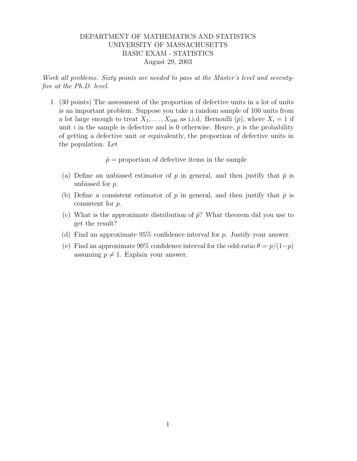## DEPARTMENT OF MATHEMATICS AND STATISTICS UNIVERSITY OF MASSACHUSETTS BASIC EXAM - STATISTICS August 29, 2003

Work all problems. Sixty points are needed to pass at the Master's level and seventyfive at the Ph.D. level.

1. (30 points) The assessment of the proportion of defective units in a lot of units is an important problem. Suppose you take a random sample of 100 units from a lot large enough to treat  $X_1, \ldots, X_{100}$  as i.i.d. Bernoulli  $(p)$ , where  $X_i = 1$  if unit  $i$  in the sample is defective and is 0 otherwise. Hence,  $p$  is the probability of getting a defective unit or equivalently, the proportion of defective units in the population. Let

 $\hat{p}$  = proportion of defective items in the sample

- (a) Define an unbiased estimator of p in general, and then justify that  $\hat{p}$  is unbiased for p.
- (b) Define a consistent estimator of p in general, and then justify that  $\hat{p}$  is consistent for p.
- (c) What is the approximate distribution of  $\hat{p}$ ? What theorem did you use to get the result?
- (d) Find an approximate  $95\%$  confidence interval for p. Justify your answer.
- (e) Find an approximate 90% confidence interval for the odd-ratio  $\theta = p/(1-p)$ assuming  $p \neq 1$ . Explain your answer.